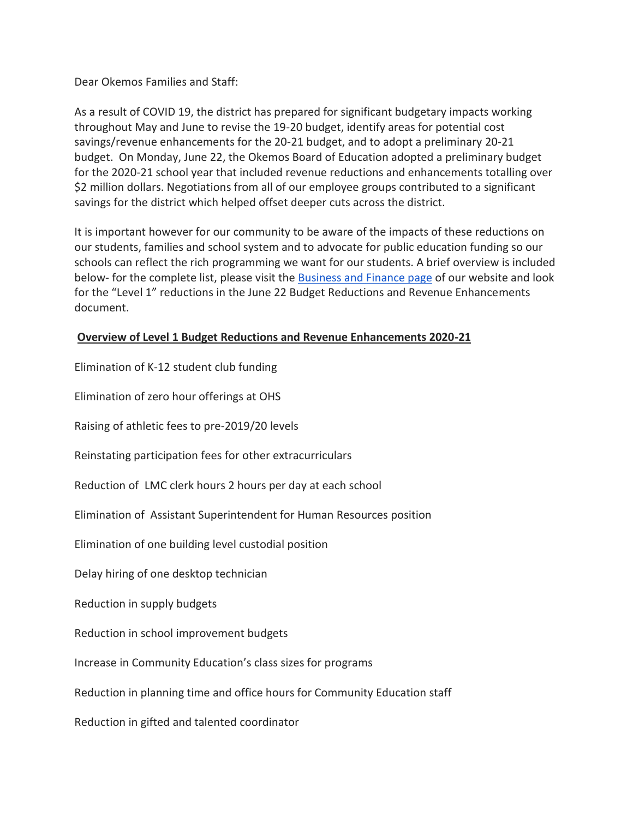Dear Okemos Families and Staff:

As a result of COVID 19, the district has prepared for significant budgetary impacts working throughout May and June to revise the 19-20 budget, identify areas for potential cost savings/revenue enhancements for the 20-21 budget, and to adopt a preliminary 20-21 budget. On Monday, June 22, the Okemos Board of Education adopted a preliminary budget for the 2020-21 school year that included revenue reductions and enhancements totalling over \$2 million dollars. Negotiations from all of our employee groups contributed to a significant savings for the district which helped offset deeper cuts across the district.

It is important however for our community to be aware of the impacts of these reductions on our students, families and school system and to advocate for public education funding so our schools can reflect the rich programming we want for our students. A brief overview is included below- for the complete list, please visit the [Business and Finance page](http://track.spe.schoolmessenger.com/f/a/0JYMwC-AcZY4hTsXcVyNDw~~/AAAAAQA~/RgRg140wP0TLaHR0cDovL3RyYWNrLnNwZS5zY2hvb2xtZXNzZW5nZXIuY29tL2YvYS9RNWZSX282c3dmUDUwUUpsSktRQkFBfn4vQUFBQUFRQX4vUmdSZ3hTRU9QMFFqYUhSMGNITTZMeTkzZDNjdWIydGxiVzl6YXpFeUxtNWxkQzlrYjIxaGFXNHZOamRYQjNOamFHOXZiRzFDQ2dCR2p1M2pYa3M5YmdWU0YycHZhRzR1YUc5dlpFQnZhMlZ0YjNOck1USXVibVYwV0FRQUFBQUJXB3NjaG9vbG1CCgBGsFn2XsUd9pRSGWthdGh5LnNob3JlQG9rZW1vc2sxMi5uZXRYBAAAAAE~) of our website and look for the "Level 1" reductions in the June 22 Budget Reductions and Revenue Enhancements document.

## **Overview of Level 1 Budget Reductions and Revenue Enhancements 2020-21**

Elimination of K-12 student club funding Elimination of zero hour offerings at OHS Raising of athletic fees to pre-2019/20 levels Reinstating participation fees for other extracurriculars Reduction of LMC clerk hours 2 hours per day at each school Elimination of Assistant Superintendent for Human Resources position Elimination of one building level custodial position Delay hiring of one desktop technician Reduction in supply budgets Reduction in school improvement budgets Increase in Community Education's class sizes for programs Reduction in planning time and office hours for Community Education staff Reduction in gifted and talented coordinator